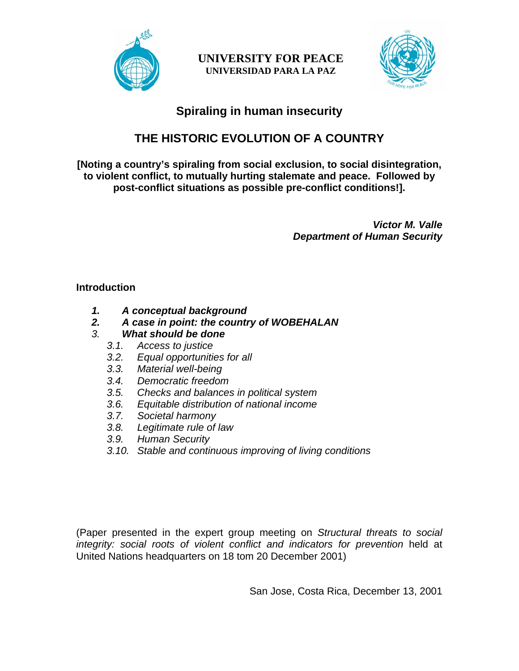

**UNIVERSITY FOR PEACE UNIVERSIDAD PARA LA PAZ** 



# **Spiraling in human insecurity**

# **THE HISTORIC EVOLUTION OF A COUNTRY**

**[Noting a country's spiraling from social exclusion, to social disintegration, to violent conflict, to mutually hurting stalemate and peace. Followed by post-conflict situations as possible pre-conflict conditions!].** 

> *Victor M. Valle Department of Human Security*

#### **Introduction**

- *1. A conceptual background*
- *2. A case in point: the country of WOBEHALAN*
- *3. What should be done*
	- *3.1. Access to justice*
	- *3.2. Equal opportunities for all*
	- *3.3. Material well-being*
	- *3.4. Democratic freedom*
	- *3.5. Checks and balances in political system*
	- *3.6. Equitable distribution of national income*
	- *3.7. Societal harmony*
	- *3.8. Legitimate rule of law*
	- *3.9. Human Security*
	- *3.10. Stable and continuous improving of living conditions*

(Paper presented in the expert group meeting on *Structural threats to social integrity: social roots of violent conflict and indicators for prevention* held at United Nations headquarters on 18 tom 20 December 2001)

San Jose, Costa Rica, December 13, 2001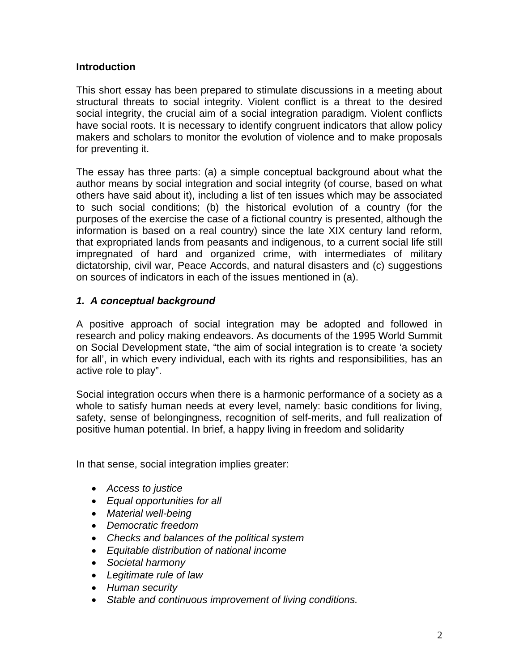#### **Introduction**

This short essay has been prepared to stimulate discussions in a meeting about structural threats to social integrity. Violent conflict is a threat to the desired social integrity, the crucial aim of a social integration paradigm. Violent conflicts have social roots. It is necessary to identify congruent indicators that allow policy makers and scholars to monitor the evolution of violence and to make proposals for preventing it.

The essay has three parts: (a) a simple conceptual background about what the author means by social integration and social integrity (of course, based on what others have said about it), including a list of ten issues which may be associated to such social conditions; (b) the historical evolution of a country (for the purposes of the exercise the case of a fictional country is presented, although the information is based on a real country) since the late XIX century land reform, that expropriated lands from peasants and indigenous, to a current social life still impregnated of hard and organized crime, with intermediates of military dictatorship, civil war, Peace Accords, and natural disasters and (c) suggestions on sources of indicators in each of the issues mentioned in (a).

#### *1. A conceptual background*

A positive approach of social integration may be adopted and followed in research and policy making endeavors. As documents of the 1995 World Summit on Social Development state, "the aim of social integration is to create 'a society for all', in which every individual, each with its rights and responsibilities, has an active role to play".

Social integration occurs when there is a harmonic performance of a society as a whole to satisfy human needs at every level, namely: basic conditions for living, safety, sense of belongingness, recognition of self-merits, and full realization of positive human potential. In brief, a happy living in freedom and solidarity

In that sense, social integration implies greater:

- *Access to justice*
- *Equal opportunities for all*
- *Material well-being*
- *Democratic freedom*
- *Checks and balances of the political system*
- *Equitable distribution of national income*
- *Societal harmony*
- *Legitimate rule of law*
- *Human security*
- *Stable and continuous improvement of living conditions.*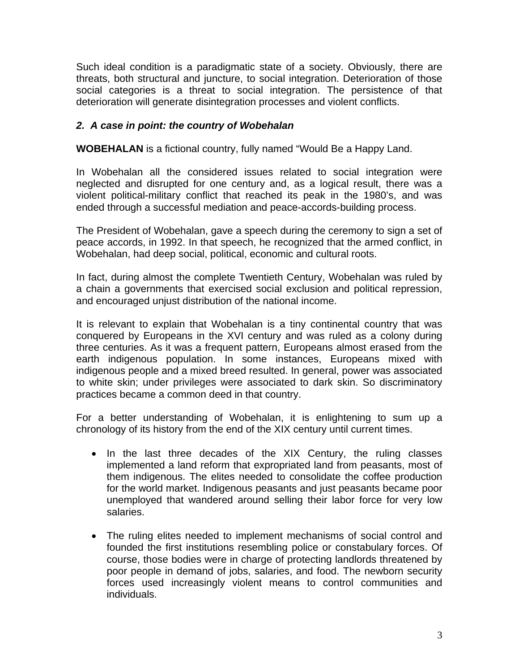Such ideal condition is a paradigmatic state of a society. Obviously, there are threats, both structural and juncture, to social integration. Deterioration of those social categories is a threat to social integration. The persistence of that deterioration will generate disintegration processes and violent conflicts.

#### *2. A case in point: the country of Wobehalan*

**WOBEHALAN** is a fictional country, fully named "Would Be a Happy Land.

In Wobehalan all the considered issues related to social integration were neglected and disrupted for one century and, as a logical result, there was a violent political-military conflict that reached its peak in the 1980's, and was ended through a successful mediation and peace-accords-building process.

The President of Wobehalan, gave a speech during the ceremony to sign a set of peace accords, in 1992. In that speech, he recognized that the armed conflict, in Wobehalan, had deep social, political, economic and cultural roots.

In fact, during almost the complete Twentieth Century, Wobehalan was ruled by a chain a governments that exercised social exclusion and political repression, and encouraged unjust distribution of the national income.

It is relevant to explain that Wobehalan is a tiny continental country that was conquered by Europeans in the XVI century and was ruled as a colony during three centuries. As it was a frequent pattern, Europeans almost erased from the earth indigenous population. In some instances, Europeans mixed with indigenous people and a mixed breed resulted. In general, power was associated to white skin; under privileges were associated to dark skin. So discriminatory practices became a common deed in that country.

For a better understanding of Wobehalan, it is enlightening to sum up a chronology of its history from the end of the XIX century until current times.

- In the last three decades of the XIX Century, the ruling classes implemented a land reform that expropriated land from peasants, most of them indigenous. The elites needed to consolidate the coffee production for the world market. Indigenous peasants and just peasants became poor unemployed that wandered around selling their labor force for very low salaries.
- The ruling elites needed to implement mechanisms of social control and founded the first institutions resembling police or constabulary forces. Of course, those bodies were in charge of protecting landlords threatened by poor people in demand of jobs, salaries, and food. The newborn security forces used increasingly violent means to control communities and individuals.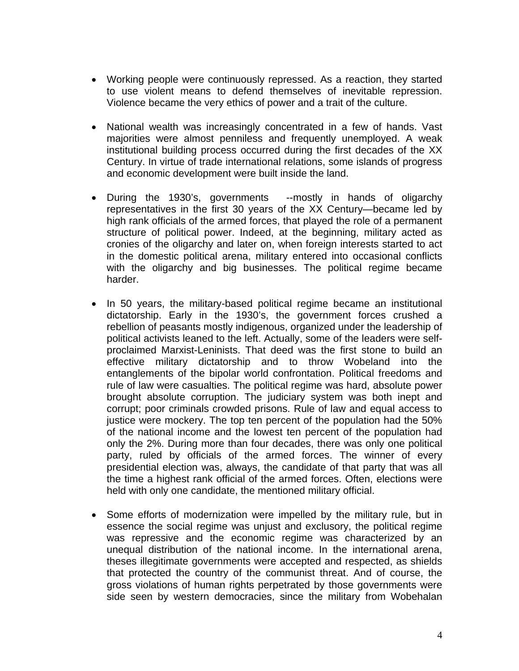- Working people were continuously repressed. As a reaction, they started to use violent means to defend themselves of inevitable repression. Violence became the very ethics of power and a trait of the culture.
- National wealth was increasingly concentrated in a few of hands. Vast majorities were almost penniless and frequently unemployed. A weak institutional building process occurred during the first decades of the XX Century. In virtue of trade international relations, some islands of progress and economic development were built inside the land.
- During the 1930's, governments --mostly in hands of oligarchy representatives in the first 30 years of the XX Century—became led by high rank officials of the armed forces, that played the role of a permanent structure of political power. Indeed, at the beginning, military acted as cronies of the oligarchy and later on, when foreign interests started to act in the domestic political arena, military entered into occasional conflicts with the oligarchy and big businesses. The political regime became harder.
- In 50 years, the military-based political regime became an institutional dictatorship. Early in the 1930's, the government forces crushed a rebellion of peasants mostly indigenous, organized under the leadership of political activists leaned to the left. Actually, some of the leaders were selfproclaimed Marxist-Leninists. That deed was the first stone to build an effective military dictatorship and to throw Wobeland into the entanglements of the bipolar world confrontation. Political freedoms and rule of law were casualties. The political regime was hard, absolute power brought absolute corruption. The judiciary system was both inept and corrupt; poor criminals crowded prisons. Rule of law and equal access to justice were mockery. The top ten percent of the population had the 50% of the national income and the lowest ten percent of the population had only the 2%. During more than four decades, there was only one political party, ruled by officials of the armed forces. The winner of every presidential election was, always, the candidate of that party that was all the time a highest rank official of the armed forces. Often, elections were held with only one candidate, the mentioned military official.
- Some efforts of modernization were impelled by the military rule, but in essence the social regime was unjust and exclusory, the political regime was repressive and the economic regime was characterized by an unequal distribution of the national income. In the international arena, theses illegitimate governments were accepted and respected, as shields that protected the country of the communist threat. And of course, the gross violations of human rights perpetrated by those governments were side seen by western democracies, since the military from Wobehalan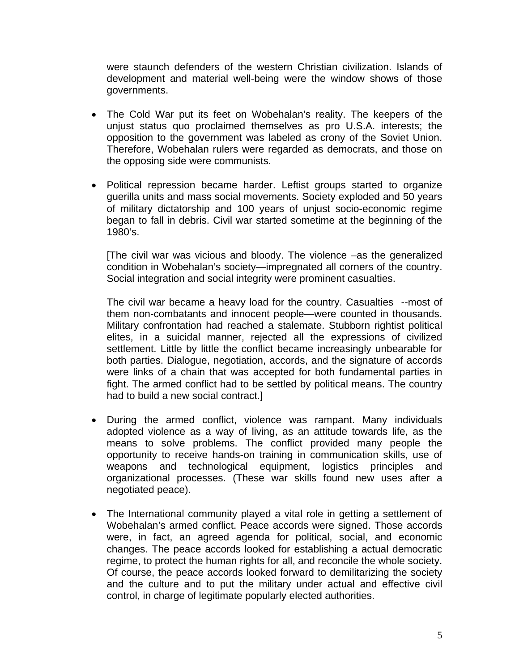were staunch defenders of the western Christian civilization. Islands of development and material well-being were the window shows of those governments.

- The Cold War put its feet on Wobehalan's reality. The keepers of the unjust status quo proclaimed themselves as pro U.S.A. interests; the opposition to the government was labeled as crony of the Soviet Union. Therefore, Wobehalan rulers were regarded as democrats, and those on the opposing side were communists.
- Political repression became harder. Leftist groups started to organize guerilla units and mass social movements. Society exploded and 50 years of military dictatorship and 100 years of unjust socio-economic regime began to fall in debris. Civil war started sometime at the beginning of the 1980's.

[The civil war was vicious and bloody. The violence –as the generalized condition in Wobehalan's society—impregnated all corners of the country. Social integration and social integrity were prominent casualties.

The civil war became a heavy load for the country. Casualties --most of them non-combatants and innocent people—were counted in thousands. Military confrontation had reached a stalemate. Stubborn rightist political elites, in a suicidal manner, rejected all the expressions of civilized settlement. Little by little the conflict became increasingly unbearable for both parties. Dialogue, negotiation, accords, and the signature of accords were links of a chain that was accepted for both fundamental parties in fight. The armed conflict had to be settled by political means. The country had to build a new social contract.]

- During the armed conflict, violence was rampant. Many individuals adopted violence as a way of living, as an attitude towards life, as the means to solve problems. The conflict provided many people the opportunity to receive hands-on training in communication skills, use of weapons and technological equipment, logistics principles and organizational processes. (These war skills found new uses after a negotiated peace).
- The International community played a vital role in getting a settlement of Wobehalan's armed conflict. Peace accords were signed. Those accords were, in fact, an agreed agenda for political, social, and economic changes. The peace accords looked for establishing a actual democratic regime, to protect the human rights for all, and reconcile the whole society. Of course, the peace accords looked forward to demilitarizing the society and the culture and to put the military under actual and effective civil control, in charge of legitimate popularly elected authorities.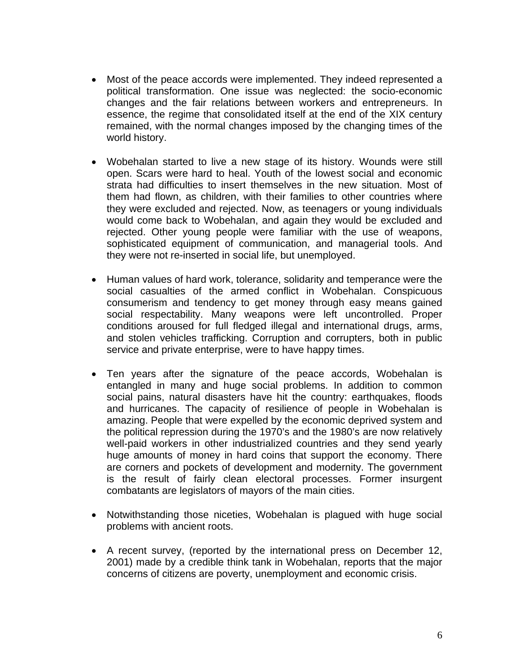- Most of the peace accords were implemented. They indeed represented a political transformation. One issue was neglected: the socio-economic changes and the fair relations between workers and entrepreneurs. In essence, the regime that consolidated itself at the end of the XIX century remained, with the normal changes imposed by the changing times of the world history.
- Wobehalan started to live a new stage of its history. Wounds were still open. Scars were hard to heal. Youth of the lowest social and economic strata had difficulties to insert themselves in the new situation. Most of them had flown, as children, with their families to other countries where they were excluded and rejected. Now, as teenagers or young individuals would come back to Wobehalan, and again they would be excluded and rejected. Other young people were familiar with the use of weapons, sophisticated equipment of communication, and managerial tools. And they were not re-inserted in social life, but unemployed.
- Human values of hard work, tolerance, solidarity and temperance were the social casualties of the armed conflict in Wobehalan. Conspicuous consumerism and tendency to get money through easy means gained social respectability. Many weapons were left uncontrolled. Proper conditions aroused for full fledged illegal and international drugs, arms, and stolen vehicles trafficking. Corruption and corrupters, both in public service and private enterprise, were to have happy times.
- Ten years after the signature of the peace accords, Wobehalan is entangled in many and huge social problems. In addition to common social pains, natural disasters have hit the country: earthquakes, floods and hurricanes. The capacity of resilience of people in Wobehalan is amazing. People that were expelled by the economic deprived system and the political repression during the 1970's and the 1980's are now relatively well-paid workers in other industrialized countries and they send yearly huge amounts of money in hard coins that support the economy. There are corners and pockets of development and modernity. The government is the result of fairly clean electoral processes. Former insurgent combatants are legislators of mayors of the main cities.
- Notwithstanding those niceties, Wobehalan is plagued with huge social problems with ancient roots.
- A recent survey, (reported by the international press on December 12, 2001) made by a credible think tank in Wobehalan, reports that the major concerns of citizens are poverty, unemployment and economic crisis.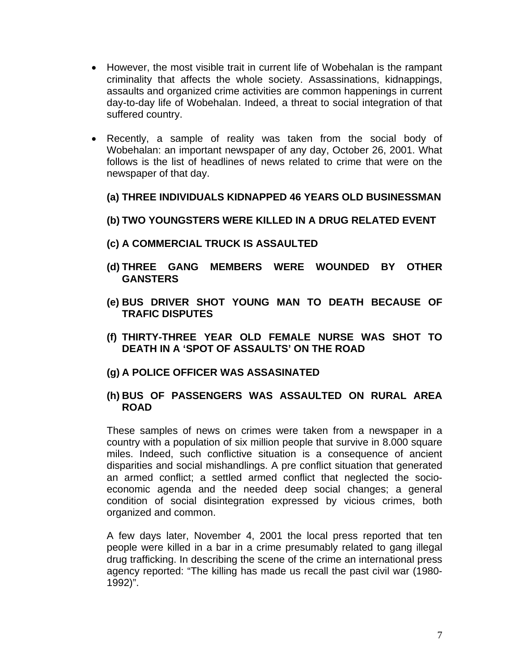- However, the most visible trait in current life of Wobehalan is the rampant criminality that affects the whole society. Assassinations, kidnappings, assaults and organized crime activities are common happenings in current day-to-day life of Wobehalan. Indeed, a threat to social integration of that suffered country.
- Recently, a sample of reality was taken from the social body of Wobehalan: an important newspaper of any day, October 26, 2001. What follows is the list of headlines of news related to crime that were on the newspaper of that day.
	- **(a) THREE INDIVIDUALS KIDNAPPED 46 YEARS OLD BUSINESSMAN**
	- **(b) TWO YOUNGSTERS WERE KILLED IN A DRUG RELATED EVENT**
	- **(c) A COMMERCIAL TRUCK IS ASSAULTED**
	- **(d) THREE GANG MEMBERS WERE WOUNDED BY OTHER GANSTERS**
	- **(e) BUS DRIVER SHOT YOUNG MAN TO DEATH BECAUSE OF TRAFIC DISPUTES**
	- **(f) THIRTY-THREE YEAR OLD FEMALE NURSE WAS SHOT TO DEATH IN A 'SPOT OF ASSAULTS' ON THE ROAD**
	- **(g) A POLICE OFFICER WAS ASSASINATED**
	- **(h) BUS OF PASSENGERS WAS ASSAULTED ON RURAL AREA ROAD**

These samples of news on crimes were taken from a newspaper in a country with a population of six million people that survive in 8.000 square miles. Indeed, such conflictive situation is a consequence of ancient disparities and social mishandlings. A pre conflict situation that generated an armed conflict; a settled armed conflict that neglected the socioeconomic agenda and the needed deep social changes; a general condition of social disintegration expressed by vicious crimes, both organized and common.

A few days later, November 4, 2001 the local press reported that ten people were killed in a bar in a crime presumably related to gang illegal drug trafficking. In describing the scene of the crime an international press agency reported: "The killing has made us recall the past civil war (1980- 1992)".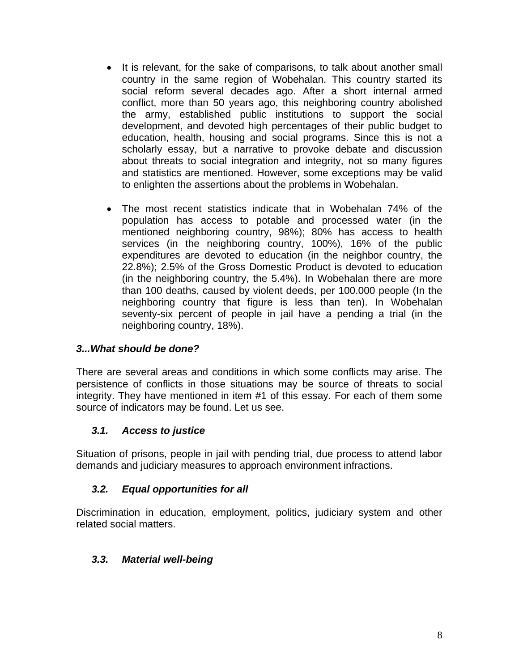- It is relevant, for the sake of comparisons, to talk about another small country in the same region of Wobehalan. This country started its social reform several decades ago. After a short internal armed conflict, more than 50 years ago, this neighboring country abolished the army, established public institutions to support the social development, and devoted high percentages of their public budget to education, health, housing and social programs. Since this is not a scholarly essay, but a narrative to provoke debate and discussion about threats to social integration and integrity, not so many figures and statistics are mentioned. However, some exceptions may be valid to enlighten the assertions about the problems in Wobehalan.
- The most recent statistics indicate that in Wobehalan 74% of the population has access to potable and processed water (in the mentioned neighboring country, 98%); 80% has access to health services (in the neighboring country, 100%), 16% of the public expenditures are devoted to education (in the neighbor country, the 22.8%); 2.5% of the Gross Domestic Product is devoted to education (in the neighboring country, the 5.4%). In Wobehalan there are more than 100 deaths, caused by violent deeds, per 100.000 people (In the neighboring country that figure is less than ten). In Wobehalan seventy-six percent of people in jail have a pending a trial (in the neighboring country, 18%).

#### *3...What should be done?*

There are several areas and conditions in which some conflicts may arise. The persistence of conflicts in those situations may be source of threats to social integrity. They have mentioned in item #1 of this essay. For each of them some source of indicators may be found. Let us see.

## *3.1. Access to justice*

Situation of prisons, people in jail with pending trial, due process to attend labor demands and judiciary measures to approach environment infractions.

## *3.2. Equal opportunities for all*

Discrimination in education, employment, politics, judiciary system and other related social matters.

## *3.3. Material well-being*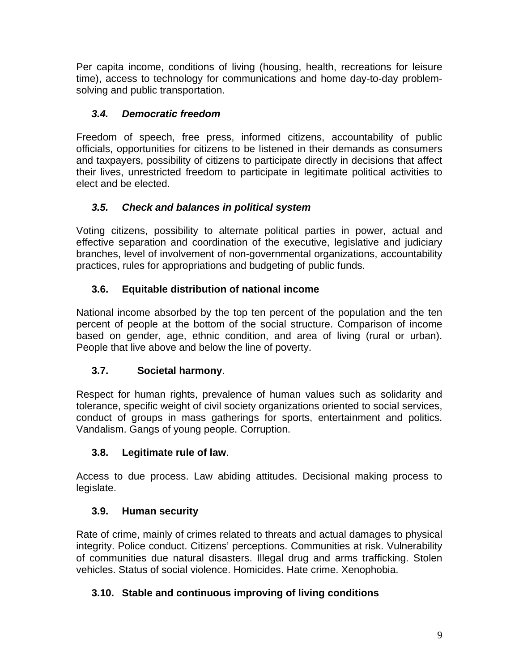Per capita income, conditions of living (housing, health, recreations for leisure time), access to technology for communications and home day-to-day problemsolving and public transportation.

## *3.4. Democratic freedom*

Freedom of speech, free press, informed citizens, accountability of public officials, opportunities for citizens to be listened in their demands as consumers and taxpayers, possibility of citizens to participate directly in decisions that affect their lives, unrestricted freedom to participate in legitimate political activities to elect and be elected.

## *3.5. Check and balances in political system*

Voting citizens, possibility to alternate political parties in power, actual and effective separation and coordination of the executive, legislative and judiciary branches, level of involvement of non-governmental organizations, accountability practices, rules for appropriations and budgeting of public funds.

## **3.6. Equitable distribution of national income**

National income absorbed by the top ten percent of the population and the ten percent of people at the bottom of the social structure. Comparison of income based on gender, age, ethnic condition, and area of living (rural or urban). People that live above and below the line of poverty.

## **3.7. Societal harmony**.

Respect for human rights, prevalence of human values such as solidarity and tolerance, specific weight of civil society organizations oriented to social services, conduct of groups in mass gatherings for sports, entertainment and politics. Vandalism. Gangs of young people. Corruption.

## **3.8. Legitimate rule of law**.

Access to due process. Law abiding attitudes. Decisional making process to legislate.

## **3.9. Human security**

Rate of crime, mainly of crimes related to threats and actual damages to physical integrity. Police conduct. Citizens' perceptions. Communities at risk. Vulnerability of communities due natural disasters. Illegal drug and arms trafficking. Stolen vehicles. Status of social violence. Homicides. Hate crime. Xenophobia.

# **3.10. Stable and continuous improving of living conditions**